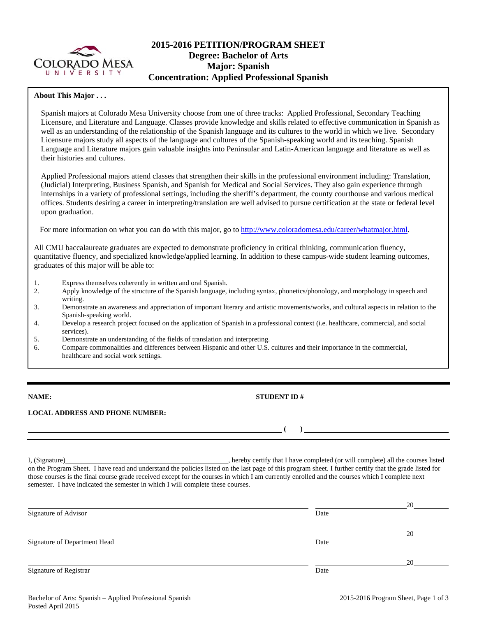

# **2015-2016 PETITION/PROGRAM SHEET Degree: Bachelor of Arts Major: Spanish Concentration: Applied Professional Spanish**

#### **About This Major . . .**

Spanish majors at Colorado Mesa University choose from one of three tracks: Applied Professional, Secondary Teaching Licensure, and Literature and Language. Classes provide knowledge and skills related to effective communication in Spanish as well as an understanding of the relationship of the Spanish language and its cultures to the world in which we live. Secondary Licensure majors study all aspects of the language and cultures of the Spanish-speaking world and its teaching. Spanish Language and Literature majors gain valuable insights into Peninsular and Latin-American language and literature as well as their histories and cultures.

Applied Professional majors attend classes that strengthen their skills in the professional environment including: Translation, (Judicial) Interpreting, Business Spanish, and Spanish for Medical and Social Services. They also gain experience through internships in a variety of professional settings, including the sheriff's department, the county courthouse and various medical offices. Students desiring a career in interpreting/translation are well advised to pursue certification at the state or federal level upon graduation.

For more information on what you can do with this major, go to http://www.coloradomesa.edu/career/whatmajor.html.

All CMU baccalaureate graduates are expected to demonstrate proficiency in critical thinking, communication fluency, quantitative fluency, and specialized knowledge/applied learning. In addition to these campus-wide student learning outcomes, graduates of this major will be able to:

- 1. Express themselves coherently in written and oral Spanish.<br>
2. Apply knowledge of the structure of the Spanish language.
- 2. Apply knowledge of the structure of the Spanish language, including syntax, phonetics/phonology, and morphology in speech and writing.
- 3. Demonstrate an awareness and appreciation of important literary and artistic movements/works, and cultural aspects in relation to the Spanish-speaking world.
- 4. Develop a research project focused on the application of Spanish in a professional context (i.e. healthcare, commercial, and social services).
- 5. Demonstrate an understanding of the fields of translation and interpreting.
- 6. Compare commonalities and differences between Hispanic and other U.S. cultures and their importance in the commercial, healthcare and social work settings.

**NAME: STUDENT ID #**

**LOCAL ADDRESS AND PHONE NUMBER:**

 $\frac{1}{\sqrt{2}}$ 

I, (Signature) , hereby certify that I have completed (or will complete) all the courses listed on the Program Sheet. I have read and understand the policies listed on the last page of this program sheet. I further certify that the grade listed for those courses is the final course grade received except for the courses in which I am currently enrolled and the courses which I complete next semester. I have indicated the semester in which I will complete these courses.

|                              |      | 20 |
|------------------------------|------|----|
| Signature of Advisor         | Date |    |
|                              |      | 20 |
| Signature of Department Head | Date |    |
|                              |      | 20 |
| Signature of Registrar       | Date |    |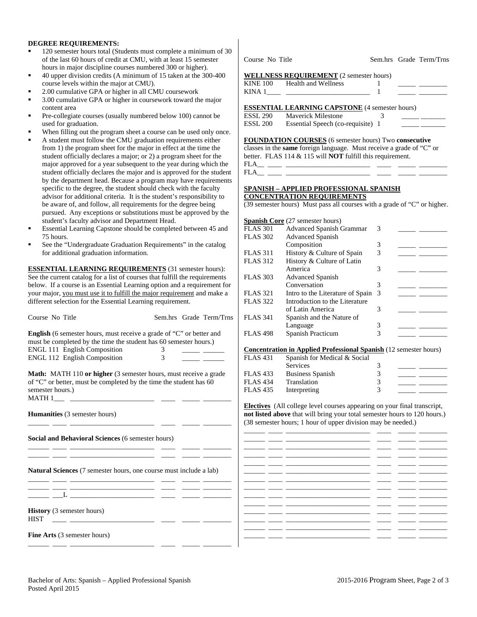#### **DEGREE REQUIREMENTS:**

- 120 semester hours total (Students must complete a minimum of 30 of the last 60 hours of credit at CMU, with at least 15 semester hours in major discipline courses numbered 300 or higher).
- 40 upper division credits (A minimum of 15 taken at the 300-400 course levels within the major at CMU).
- 2.00 cumulative GPA or higher in all CMU coursework
- 3.00 cumulative GPA or higher in coursework toward the major content area
- Pre-collegiate courses (usually numbered below 100) cannot be used for graduation.
- When filling out the program sheet a course can be used only once.
- A student must follow the CMU graduation requirements either from 1) the program sheet for the major in effect at the time the student officially declares a major; or 2) a program sheet for the major approved for a year subsequent to the year during which the student officially declares the major and is approved for the student by the department head. Because a program may have requirements specific to the degree, the student should check with the faculty advisor for additional criteria. It is the student's responsibility to be aware of, and follow, all requirements for the degree being pursued. Any exceptions or substitutions must be approved by the student's faculty advisor and Department Head.
- Essential Learning Capstone should be completed between 45 and 75 hours.
- See the "Undergraduate Graduation Requirements" in the catalog for additional graduation information.

**ESSENTIAL LEARNING REQUIREMENTS** (31 semester hours): See the current catalog for a list of courses that fulfill the requirements below. If a course is an Essential Learning option and a requirement for your major, you must use it to fulfill the major requirement and make a different selection for the Essential Learning requirement.

| Course No Title                                                                                                                                                                                                                                                              |                | Sem.hrs Grade Term/Trns   | <b>FLAS 341</b>                                                                                                                                                                                                                                                                                 |
|------------------------------------------------------------------------------------------------------------------------------------------------------------------------------------------------------------------------------------------------------------------------------|----------------|---------------------------|-------------------------------------------------------------------------------------------------------------------------------------------------------------------------------------------------------------------------------------------------------------------------------------------------|
| <b>English</b> (6 semester hours, must receive a grade of "C" or better and<br>must be completed by the time the student has 60 semester hours.)                                                                                                                             |                |                           | <b>FLAS 498</b>                                                                                                                                                                                                                                                                                 |
| <b>ENGL 111 English Composition</b>                                                                                                                                                                                                                                          | 3              | <u> Albanya (Albanya)</u> | Concentratio                                                                                                                                                                                                                                                                                    |
| ENGL 112 English Composition                                                                                                                                                                                                                                                 | 3 <sup>1</sup> |                           | <b>FLAS 431</b>                                                                                                                                                                                                                                                                                 |
| <b>Math:</b> MATH 110 or higher (3 semester hours, must receive a grade                                                                                                                                                                                                      |                |                           | <b>FLAS 433</b>                                                                                                                                                                                                                                                                                 |
| of "C" or better, must be completed by the time the student has 60                                                                                                                                                                                                           |                |                           | <b>FLAS 434</b>                                                                                                                                                                                                                                                                                 |
| semester hours.)                                                                                                                                                                                                                                                             |                |                           | <b>FLAS 435</b>                                                                                                                                                                                                                                                                                 |
| <b>Humanities</b> (3 semester hours)<br><u> 1989 - Johann Harry Harry Harry Harry Harry Harry Harry Harry Harry Harry Harry Harry Harry Harry Harry Harry Harry Harry Harry Harry Harry Harry Harry Harry Harry Harry Harry Harry Harry Harry Harry Harry Harry Harry Ha</u> |                |                           | <b>Electives</b> (Al<br>not listed abo<br>(38 semester h                                                                                                                                                                                                                                        |
| Social and Behavioral Sciences (6 semester hours)                                                                                                                                                                                                                            |                |                           | <u> Albanya a Manazarta</u><br><u> Albanya a Manazarta</u><br><u> The Common School and The Common School and</u>                                                                                                                                                                               |
| <u> 1999 - John Stein, Amerikaansk politiker (</u><br><b>Natural Sciences</b> (7 semester hours, one course must include a lab)                                                                                                                                              |                |                           | <u> 1980 - Jan James James III, president politik (</u><br><u> The Common State State State State State State State State State State State State State State State State State State State State State State State State State State State State State State State State State State State</u> |
| <u> 1980 - Antonio Alemania, prima prestava prestava prestava prestava prestava prestava prestava prestava prestav</u><br><u> 2000 - 2000 - 2000 - 2000 - 2000 - 2000 - 2000 - 2000 - 2000 - 2000 - 2000 - 2000 - 2000 - 2000 - 2000 - 200</u>                               |                |                           | <u> 1989 - Andrea State</u><br><u> The Common School School School School School School School School School School School School School School School School School School School School School School School School School</u>                                                                |
| <b>History</b> (3 semester hours)<br><b>HIST</b><br><u> 1980 - Jan Stein Stein Stein Stein Stein Stein Stein Stein Stein Stein Stein Stein Stein Stein Stein Stein S</u>                                                                                                     |                |                           | <u>and the community of the community of the community of the community of the community of the community of the community of the community of the community of the community of the community of the community of the community</u><br><u> De Barbara (Barbara)</u>                            |
| <b>Fine Arts</b> (3 semester hours)                                                                                                                                                                                                                                          |                |                           |                                                                                                                                                                                                                                                                                                 |
|                                                                                                                                                                                                                                                                              |                |                           |                                                                                                                                                                                                                                                                                                 |

Course No Title Sem.hrs Grade Term/Trns

|          | <b>WELLNESS REQUIREMENT</b> (2 semester hours) |  |  |
|----------|------------------------------------------------|--|--|
| KINE 100 | Health and Wellness                            |  |  |

| ы<br> |  |  |
|-------|--|--|
|       |  |  |

### **ESSENTIAL LEARNING CAPSTONE** (4 semester hours)

| ESSL 290        | <b>Maverick Milestone</b>         |  |
|-----------------|-----------------------------------|--|
| <b>ESSL 200</b> | Essential Speech (co-requisite) 1 |  |

**FOUNDATION COURSES** (6 semester hours) Two **consecutive** classes in the **same** foreign language. Must receive a grade of "C" or better. FLAS 114 & 115 will **NOT** fulfill this requirement.  $FLA$ <sub>\_\_\_</sub> \_\_

 $FLA$ 

#### **SPANISH – APPLIED PROFESSIONAL SPANISH CONCENTRATION REQUIREMENTS**

(39 semester hours) Must pass all courses with a grade of "C" or higher.

| <b>Spanish Core</b> (27 semester hours) |   |    |  |
|-----------------------------------------|---|----|--|
| <b>Advanced Spanish Grammar</b>         | 3 |    |  |
| <b>Advanced Spanish</b>                 |   |    |  |
| Composition                             | 3 |    |  |
| History & Culture of Spain              | 3 |    |  |
| History & Culture of Latin              |   |    |  |
| America                                 | 3 |    |  |
| <b>Advanced Spanish</b>                 |   |    |  |
| Conversation                            | 3 |    |  |
| Intro to the Literature of Spain        |   |    |  |
| Introduction to the Literature          |   |    |  |
| of Latin America                        | 3 |    |  |
| Spanish and the Nature of               |   |    |  |
| Language                                | 3 |    |  |
| Spanish Practicum                       |   |    |  |
|                                         |   | -3 |  |

#### **n in Applied Professional Spanish** (12 semester hours)

| <b>FLAS</b> 431 | Spanish for Medical & Social |  |  |
|-----------------|------------------------------|--|--|
|                 | Services                     |  |  |
| <b>FLAS</b> 433 | <b>Business Spanish</b>      |  |  |
| <b>FLAS</b> 434 | Translation                  |  |  |
| <b>FLAS 435</b> | Interpreting                 |  |  |

Il college level courses appearing on your final transcript, **rowe** that will bring your total semester hours to 120 hours.) hours; 1 hour of upper division may be needed.)

|  |                          | __            |  |
|--|--------------------------|---------------|--|
|  | - -                      |               |  |
|  |                          | ____          |  |
|  |                          |               |  |
|  | ___                      |               |  |
|  |                          |               |  |
|  |                          |               |  |
|  |                          | - -           |  |
|  | ___                      |               |  |
|  | ____                     |               |  |
|  | —                        | $\sim$ $\sim$ |  |
|  | $\overline{\phantom{a}}$ |               |  |
|  |                          |               |  |
|  |                          |               |  |